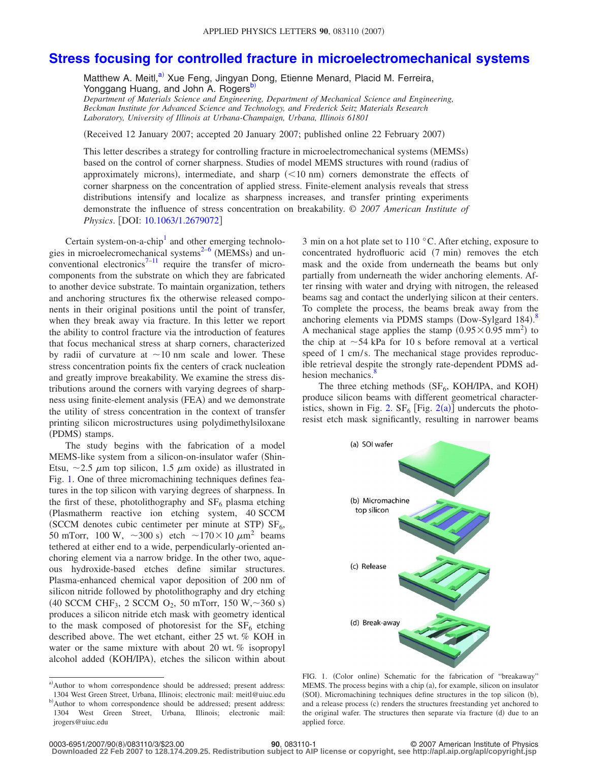## **[Stress focusing for controlled fracture in microelectromechanical systems](http://dx.doi.org/10.1063/1.2679072)**

Matthew A. Meitl,<sup>a)</sup> Xue Feng, Jingyan Dong, Etienne Menard, Placid M. Ferreira, Yonggang Huang, and John A. Rogers<sup>b)</sup>

*Department of Materials Science and Engineering, Department of Mechanical Science and Engineering, Beckman Institute for Advanced Science and Technology, and Frederick Seitz Materials Research Laboratory, University of Illinois at Urbana-Champaign, Urbana, Illinois 61801*

(Received 12 January 2007; accepted 20 January 2007; published online 22 February 2007)

This letter describes a strategy for controlling fracture in microelectromechanical systems (MEMSs) based on the control of corner sharpness. Studies of model MEMS structures with round (radius of approximately microns), intermediate, and sharp  $(< 10 \text{ nm}$ ) corners demonstrate the effects of corner sharpness on the concentration of applied stress. Finite-element analysis reveals that stress distributions intensify and localize as sharpness increases, and transfer printing experiments demonstrate the influence of stress concentration on breakability. © *2007 American Institute of Physics.* [DOI: [10.1063/1.2679072](http://dx.doi.org/10.1063/1.2679072)]

Certain system-on-a-chip<sup>1</sup> and other emerging technologies in microelecromechanical systems<sup>2-6</sup> (MEMSs) and un-conventional electronics<sup>7–[11](#page-2-4)</sup> require the transfer of microcomponents from the substrate on which they are fabricated to another device substrate. To maintain organization, tethers and anchoring structures fix the otherwise released components in their original positions until the point of transfer, when they break away via fracture. In this letter we report the ability to control fracture via the introduction of features that focus mechanical stress at sharp corners, characterized by radii of curvature at  $\sim$ 10 nm scale and lower. These stress concentration points fix the centers of crack nucleation and greatly improve breakability. We examine the stress distributions around the corners with varying degrees of sharpness using finite-element analysis (FEA) and we demonstrate the utility of stress concentration in the context of transfer printing silicon microstructures using polydimethylsiloxane (PDMS) stamps.

The study begins with the fabrication of a model MEMS-like system from a silicon-on-insulator wafer (Shin-Etsu,  $\sim$  2.5  $\mu$ m top silicon, 1.5  $\mu$ m oxide) as illustrated in Fig. [1.](#page-0-2) One of three micromachining techniques defines features in the top silicon with varying degrees of sharpness. In the first of these, photolithography and  $SF<sub>6</sub>$  plasma etching Plasmatherm reactive ion etching system, 40 SCCM (SCCM denotes cubic centimeter per minute at STP)  $SF<sub>6</sub>$ , 50 mTorr, 100 W,  $\sim$ 300 s) etch  $\sim$ 170 $\times$ 10  $\mu$ m<sup>2</sup> beams tethered at either end to a wide, perpendicularly-oriented anchoring element via a narrow bridge. In the other two, aqueous hydroxide-based etches define similar structures. Plasma-enhanced chemical vapor deposition of 200 nm of silicon nitride followed by photolithography and dry etching  $(40$  SCCM CHF<sub>3</sub>, 2 SCCM O<sub>2</sub>, 50 mTorr, 150 W, ~360 s) produces a silicon nitride etch mask with geometry identical to the mask composed of photoresist for the  $SF<sub>6</sub>$  etching described above. The wet etchant, either 25 wt. % KOH in water or the same mixture with about 20 wt. % isopropyl alcohol added (KOH/IPA), etches the silicon within about

<span id="page-0-1"></span><span id="page-0-0"></span>a)Author to whom correspondence should be addressed; present address: 1304 West Green Street, Urbana, Illinois; electronic mail: meitl@uiuc.edu b)Author to whom correspondence should be addressed; present address: 1304 West Green Street, Urbana, Illinois; electronic mail: jrogers@uiuc.edu

3 min on a hot plate set to 110 °C. After etching, exposure to concentrated hydrofluoric acid (7 min) removes the etch mask and the oxide from underneath the beams but only partially from underneath the wider anchoring elements. After rinsing with water and drying with nitrogen, the released beams sag and contact the underlying silicon at their centers. To complete the process, the beams break away from the anchoring elements via PDMS stamps (Dow-Sylgard 1[8](#page-2-5)4). $8$ A mechanical stage applies the stamp  $(0.95 \times 0.95 \text{ mm}^2)$  to the chip at  $\sim$  54 kPa for 10 s before removal at a vertical speed of 1 cm/s. The mechanical stage provides reproducible retrieval despite the strongly rate-dependent PDMS adhesion mechanics.<sup>8</sup>

<span id="page-0-2"></span>The three etching methods  $(SF_6, KOH/IPA, and KOH)$ produce silicon beams with different geometrical character-istics, shown in Fig. [2.](#page-1-0)  $SF_6$  [Fig. [2](#page-1-0)(a)] undercuts the photoresist etch mask significantly, resulting in narrower beams



FIG. 1. (Color online) Schematic for the fabrication of "breakaway" MEMS. The process begins with a chip (a), for example, silicon on insulator (SOI). Micromachining techniques define structures in the top silicon (b), and a release process (c) renders the structures freestanding yet anchored to the original wafer. The structures then separate via fracture (d) due to an applied force.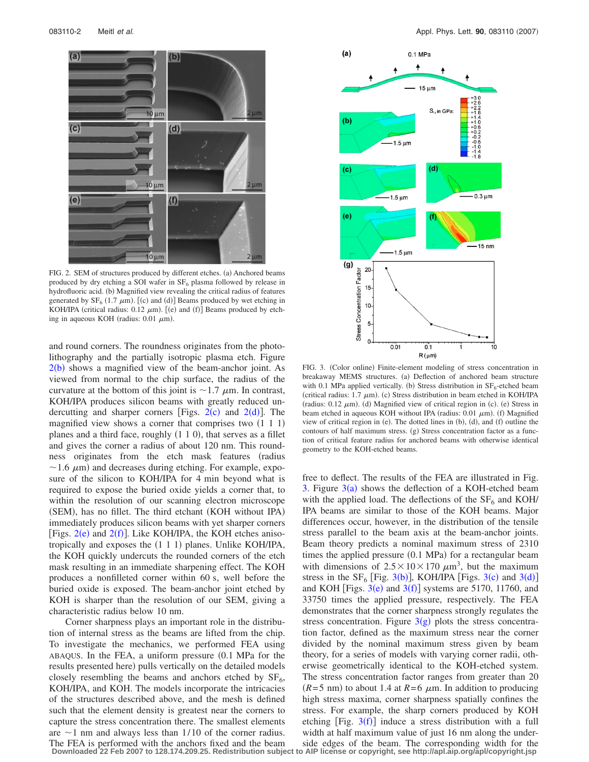<span id="page-1-0"></span>

FIG. 2. SEM of structures produced by different etches. (a) Anchored beams produced by dry etching a SOI wafer in  $SF_6$  plasma followed by release in hydrofluoric acid. (b) Magnified view revealing the critical radius of features generated by  $SF_6$  (1.7  $\mu$ m). [(c) and (d)] Beams produced by wet etching in KOH/IPA (critical radius:  $0.12 \mu m$ ). [(e) and (f)] Beams produced by etching in aqueous KOH (radius:  $0.01 \mu m$ ).

and round corners. The roundness originates from the photolithography and the partially isotropic plasma etch. Figure  $2(b)$  $2(b)$  shows a magnified view of the beam-anchor joint. As viewed from normal to the chip surface, the radius of the curvature at the bottom of this joint is  $\sim$  1.7  $\mu$ m. In contrast, KOH/IPA produces silicon beams with greatly reduced undercutting and sharper corners [Figs.  $2(c)$  $2(c)$  and  $2(d)$ ]. The magnified view shows a corner that comprises two  $(1\ 1\ 1)$ planes and a third face, roughly (1 1 0), that serves as a fillet and gives the corner a radius of about 120 nm. This roundness originates from the etch mask features (radius  $\sim$  1.6  $\mu$ m) and decreases during etching. For example, exposure of the silicon to KOH/IPA for 4 min beyond what is required to expose the buried oxide yields a corner that, to within the resolution of our scanning electron microscope (SEM), has no fillet. The third etchant (KOH without IPA) immediately produces silicon beams with yet sharper corners [Figs.  $2(e)$  $2(e)$  and  $2(f)$ ]. Like KOH/IPA, the KOH etches anisotropically and exposes the  $(1\ 1\ 1)$  planes. Unlike KOH/IPA, the KOH quickly undercuts the rounded corners of the etch mask resulting in an immediate sharpening effect. The KOH produces a nonfilleted corner within 60 s, well before the buried oxide is exposed. The beam-anchor joint etched by KOH is sharper than the resolution of our SEM, giving a characteristic radius below 10 nm.

Corner sharpness plays an important role in the distribution of internal stress as the beams are lifted from the chip. To investigate the mechanics, we performed FEA using  $ABAQUS$ . In the FEA, a uniform pressure  $(0.1 \text{ MPa}$  for the results presented here) pulls vertically on the detailed models closely resembling the beams and anchors etched by  $SF<sub>6</sub>$ , KOH/IPA, and KOH. The models incorporate the intricacies of the structures described above, and the mesh is defined such that the element density is greatest near the corners to capture the stress concentration there. The smallest elements are  $\sim$ 1 nm and always less than 1/10 of the corner radius. The FEA is performed with the anchors fixed and the beam

<span id="page-1-1"></span>

FIG. 3. (Color online) Finite-element modeling of stress concentration in breakaway MEMS structures. (a) Deflection of anchored beam structure with 0.1 MPa applied vertically. (b) Stress distribution in  $SF_6$ -etched beam (critical radius:  $1.7 \mu m$ ). (c) Stress distribution in beam etched in KOH/IPA (radius:  $0.12 \mu m$ ). (d) Magnified view of critical region in (c). (e) Stress in beam etched in aqueous KOH without IPA (radius:  $0.01 \mu m$ ). (f) Magnified view of critical region in (e). The dotted lines in  $(b)$ ,  $(d)$ , and  $(f)$  outline the contours of half maximum stress. (g) Stress concentration factor as a function of critical feature radius for anchored beams with otherwise identical geometry to the KOH-etched beams.

free to deflect. The results of the FEA are illustrated in Fig. [3.](#page-1-1) Figure  $3(a)$  $3(a)$  shows the deflection of a KOH-etched beam with the applied load. The deflections of the  $SF<sub>6</sub>$  and KOH/ IPA beams are similar to those of the KOH beams. Major differences occur, however, in the distribution of the tensile stress parallel to the beam axis at the beam-anchor joints. Beam theory predicts a nominal maximum stress of 2310 times the applied pressure (0.1 MPa) for a rectangular beam with dimensions of  $2.5 \times 10 \times 170 \ \mu \text{m}^3$ , but the maximum stress in the  $SF_6$  [Fig. [3](#page-1-1)(b)], KOH/IPA [Figs. 3(c) and 3(d)] and KOH [Figs.  $3(e)$  $3(e)$  and  $3(f)$ ] systems are 5170, 11760, and 33750 times the applied pressure, respectively. The FEA demonstrates that the corner sharpness strongly regulates the stress concentration. Figure  $3(g)$  $3(g)$  plots the stress concentration factor, defined as the maximum stress near the corner divided by the nominal maximum stress given by beam theory, for a series of models with varying corner radii, otherwise geometrically identical to the KOH-etched system. The stress concentration factor ranges from greater than 20  $(R=5$  nm) to about 1.4 at  $R=6$   $\mu$ m. In addition to producing high stress maxima, corner sharpness spatially confines the stress. For example, the sharp corners produced by KOH etching [Fig.  $3(f)$  $3(f)$ ] induce a stress distribution with a full width at half maximum value of just 16 nm along the underside edges of the beam. The corresponding width for the

**Downloaded 22 Feb 2007 to 128.174.209.25. Redistribution subject to AIP license or copyright, see http://apl.aip.org/apl/copyright.jsp**